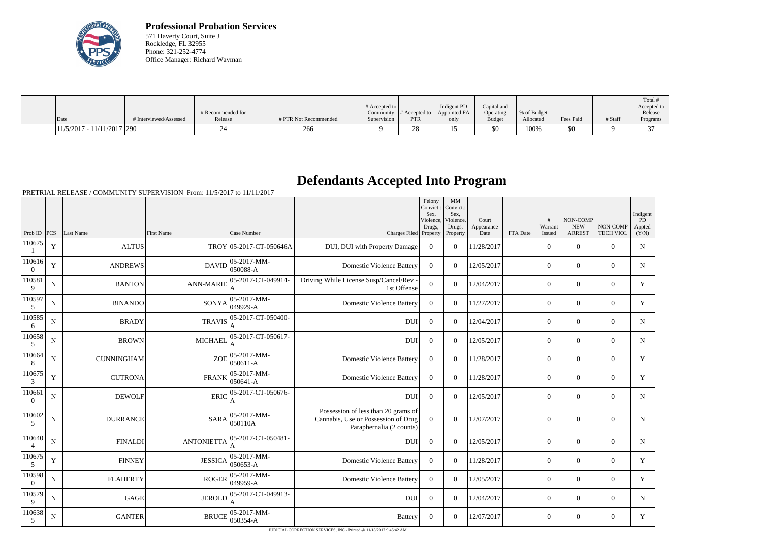

**Professional Probation Services** 571 Haverty Court, Suite J Rockledge, FL 32955 Phone: 321-252-4774 Office Manager: Richard Wayman

| Date                         | # Interviewed/Assessed | # Recommended for<br>Release | # PTR Not Recommended | # Accepted to<br>Supervision | Community $\#$ Accepted to<br>PTR | Indigent PD<br>Appointed FA<br>only | Capital and<br>Operating<br><b>Budget</b> | % of Budget<br>Allocated | <b>Fees Paid</b> | # Staff | Total<br>Accepted to<br>Release<br>Programs |
|------------------------------|------------------------|------------------------------|-----------------------|------------------------------|-----------------------------------|-------------------------------------|-------------------------------------------|--------------------------|------------------|---------|---------------------------------------------|
|                              |                        |                              |                       |                              |                                   |                                     |                                           |                          |                  |         |                                             |
| $11/5/2017 - 11/11/2017$ 290 |                        |                              | 266                   |                              | ∠∪                                |                                     | \$0                                       | 100%                     | \$0              |         |                                             |

## **Defendants Accepted Into Program**

PRETRIAL RELEASE / COMMUNITY SUPERVISION From: 11/5/2017 to 11/11/2017

|                          |             |                   |                                                                     |                                 |                                                                                                        | Felony<br>Convict.:<br>Sex.<br>Drugs, | MM<br>Convict.:<br>Sex,<br>Violence, Violence,<br>Drugs, | Court<br>Appearance |          | #<br>Warrant   | NON-COMP<br><b>NEW</b> | NON-COMP         | Indigent<br>PD<br>Appted |  |
|--------------------------|-------------|-------------------|---------------------------------------------------------------------|---------------------------------|--------------------------------------------------------------------------------------------------------|---------------------------------------|----------------------------------------------------------|---------------------|----------|----------------|------------------------|------------------|--------------------------|--|
| Prob ID $ PCS $          |             | Last Name         | <b>First Name</b>                                                   | Case Number                     | Charges Filed Property                                                                                 |                                       | Property                                                 | Date                | FTA Date | Issued         | <b>ARREST</b>          | <b>TECH VIOL</b> | (Y/N)                    |  |
| 110675                   | $\mathbf Y$ | <b>ALTUS</b>      |                                                                     | TROY 05-2017-CT-050646A         | DUI, DUI with Property Damage                                                                          | $\Omega$                              | $\Omega$                                                 | 11/28/2017          |          | $\overline{0}$ | $\mathbf{0}$           | $\overline{0}$   | $\mathbf N$              |  |
| 110616<br>$\overline{0}$ | $\mathbf Y$ | <b>ANDREWS</b>    | DAVID                                                               | $ 05-2017-MM-$<br>050088-A      | <b>Domestic Violence Battery</b>                                                                       | $\overline{0}$                        | $\overline{0}$                                           | 12/05/2017          |          | $\overline{0}$ | $\mathbf{0}$           | $\mathbf{0}$     | $\mathbf N$              |  |
| 110581<br>9              | $\mathbf N$ | <b>BANTON</b>     | <b>ANN-MARIE</b>                                                    | 05-2017-CT-049914-              | Driving While License Susp/Cancel/Rev<br>1st Offense                                                   | $\overline{0}$                        | $\Omega$                                                 | 12/04/2017          |          | $\Omega$       | $\theta$               | $\theta$         | Y                        |  |
| 110597<br>5              | $\mathbf N$ | <b>BINANDO</b>    | <b>SONYA</b>                                                        | $ 05 - 2017 - MM -$<br>049929-A | <b>Domestic Violence Battery</b>                                                                       | $\theta$                              | $\theta$                                                 | 11/27/2017          |          | $\theta$       | $\theta$               | $\theta$         | Y                        |  |
| 110585<br>6              | ${\bf N}$   | <b>BRADY</b>      | <b>TRAVIS</b>                                                       | 05-2017-CT-050400-              | <b>DUI</b>                                                                                             | $\Omega$                              | $\overline{0}$                                           | 12/04/2017          |          | $\overline{0}$ | $\overline{0}$         | $\mathbf{0}$     | $\mathbf N$              |  |
| 110658<br>5              | ${\bf N}$   | <b>BROWN</b>      | <b>MICHAEL</b>                                                      | 05-2017-CT-050617-              | <b>DUI</b>                                                                                             | $\Omega$                              | $\Omega$                                                 | 12/05/2017          |          | $\overline{0}$ | $\theta$               | $\overline{0}$   | $\mathbf N$              |  |
| 110664<br>8              | $\mathbf N$ | <b>CUNNINGHAM</b> | <b>ZOE</b>                                                          | $ 05 - 2017 - MM -$<br>050611-A | <b>Domestic Violence Battery</b>                                                                       | $\Omega$                              | $\Omega$                                                 | 11/28/2017          |          | $\overline{0}$ | $\mathbf{0}$           | $\overline{0}$   | Y                        |  |
| 110675<br>3              | $\mathbf Y$ | <b>CUTRONA</b>    | <b>FRANK</b>                                                        | 05-2017-MM-<br>050641-A         | <b>Domestic Violence Battery</b>                                                                       | $\overline{0}$                        | $\overline{0}$                                           | 11/28/2017          |          | $\overline{0}$ | $\overline{0}$         | $\overline{0}$   | Y                        |  |
| 110661<br>$\overline{0}$ | $\mathbf N$ | <b>DEWOLF</b>     | <b>ERIC</b>                                                         | 05-2017-CT-050676-<br>А         | <b>DUI</b>                                                                                             | $\overline{0}$                        | $\Omega$                                                 | 12/05/2017          |          | $\theta$       | $\theta$               | $\theta$         | $\mathbf N$              |  |
| 110602<br>5              | ${\bf N}$   | <b>DURRANCE</b>   | <b>SARA</b>                                                         | 05-2017-MM-<br> 050110A         | Possession of less than 20 grams of<br>Cannabis, Use or Possession of Drug<br>Paraphernalia (2 counts) | $\Omega$                              | $\theta$                                                 | 12/07/2017          |          | $\overline{0}$ | $\mathbf{0}$           | $\overline{0}$   | $\mathbf N$              |  |
| 110640<br>$\overline{4}$ | N           | <b>FINALDI</b>    | <b>ANTONIETTA</b>                                                   | 05-2017-CT-050481-              | <b>DUI</b>                                                                                             | $\theta$                              | $\theta$                                                 | 12/05/2017          |          | $\theta$       | $\mathbf{0}$           | $\overline{0}$   | $\mathbf N$              |  |
| 110675<br>5              | Y           | <b>FINNEY</b>     | <b>JESSICA</b>                                                      | $ 05-2017-MM-$<br>050653-A      | <b>Domestic Violence Battery</b>                                                                       | $\Omega$                              | $\theta$                                                 | 11/28/2017          |          | $\theta$       | $\theta$               | $\theta$         | Y                        |  |
| 110598<br>$\theta$       | $\mathbf N$ | <b>FLAHERTY</b>   | <b>ROGER</b>                                                        | $ 05-2017-MM-$<br>049959-A      | <b>Domestic Violence Battery</b>                                                                       | $\overline{0}$                        | $\overline{0}$                                           | 12/05/2017          |          | $\overline{0}$ | $\overline{0}$         | $\overline{0}$   | Y                        |  |
| 110579<br>9              | $\mathbf N$ | <b>GAGE</b>       | <b>JEROLD</b>                                                       | 05-2017-CT-049913-<br>A         | <b>DUI</b>                                                                                             | $\overline{0}$                        | $\Omega$                                                 | 12/04/2017          |          | $\overline{0}$ | $\mathbf{0}$           | $\overline{0}$   | $\mathbf N$              |  |
| 110638<br>5              | $\mathbf N$ | <b>GANTER</b>     | <b>BRUCE</b>                                                        | $ 05-2017-MM-$<br>050354-A      | <b>Battery</b>                                                                                         | $\theta$                              | $\Omega$                                                 | 12/07/2017          |          | $\overline{0}$ | $\theta$               | $\Omega$         | Y                        |  |
|                          |             |                   | JUDICIAL CORRECTION SERVICES, INC - Printed @ 11/18/2017 9:45:42 AM |                                 |                                                                                                        |                                       |                                                          |                     |          |                |                        |                  |                          |  |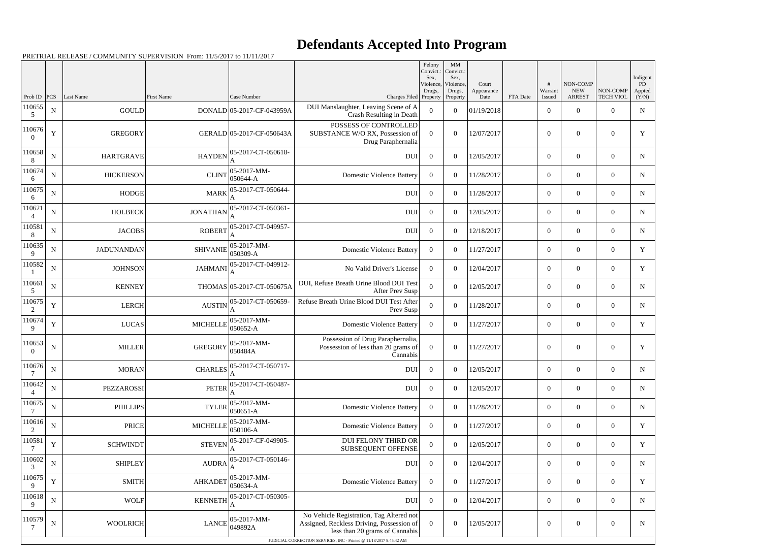## **Defendants Accepted Into Program**

PRETRIAL RELEASE / COMMUNITY SUPERVISION From: 11/5/2017 to 11/11/2017

|                          |             |                   |                 |                                 |                                                                                                                                                                                                | Felony<br>Convict.:<br>Sex, | MM<br>Convict.:<br>Sex,         |                             |          |                        |                                         |                              | Indigent              |
|--------------------------|-------------|-------------------|-----------------|---------------------------------|------------------------------------------------------------------------------------------------------------------------------------------------------------------------------------------------|-----------------------------|---------------------------------|-----------------------------|----------|------------------------|-----------------------------------------|------------------------------|-----------------------|
| Prob ID $PCS$            |             | Last Name         | First Name      | Case Number                     | Charges Filed Property                                                                                                                                                                         | Violence,<br>Drugs,         | Violence.<br>Drugs,<br>Property | Court<br>Appearance<br>Date | FTA Date | #<br>Warrant<br>Issued | NON-COMP<br><b>NEW</b><br><b>ARREST</b> | NON-COMP<br><b>TECH VIOL</b> | PD<br>Appted<br>(Y/N) |
| 110655<br>5              | ${\bf N}$   | <b>GOULD</b>      |                 | DONALD 05-2017-CF-043959A       | DUI Manslaughter, Leaving Scene of A<br>Crash Resulting in Death                                                                                                                               | $\Omega$                    | $\overline{0}$                  | 01/19/2018                  |          | $\overline{0}$         | $\overline{0}$                          | $\overline{0}$               | ${\bf N}$             |
| 110676<br>$\Omega$       | $\mathbf Y$ | <b>GREGORY</b>    |                 | GERALD 05-2017-CF-050643A       | POSSESS OF CONTROLLED<br>SUBSTANCE W/O RX, Possession of<br>Drug Paraphernalia                                                                                                                 | $\Omega$                    | $\theta$                        | 12/07/2017                  |          | $\overline{0}$         | $\overline{0}$                          | $\overline{0}$               | Y                     |
| 110658<br>8              | $\mathbf N$ | <b>HARTGRAVE</b>  | <b>HAYDEN</b>   | 05-2017-CT-050618-              | <b>DUI</b>                                                                                                                                                                                     | $\Omega$                    | $\overline{0}$                  | 12/05/2017                  |          | $\overline{0}$         | $\overline{0}$                          | $\overline{0}$               | N                     |
| 110674<br>6              | N           | <b>HICKERSON</b>  | <b>CLINT</b>    | 05-2017-MM-<br>050644-A         | <b>Domestic Violence Battery</b>                                                                                                                                                               | $\Omega$                    | $\Omega$                        | 11/28/2017                  |          | $\overline{0}$         | $\overline{0}$                          | $\overline{0}$               | N                     |
| 110675<br>6              | $\mathbf N$ | <b>HODGE</b>      | <b>MARK</b>     | 05-2017-CT-050644-              | <b>DUI</b>                                                                                                                                                                                     | $\overline{0}$              | $\overline{0}$                  | 11/28/2017                  |          | $\overline{0}$         | $\overline{0}$                          | $\overline{0}$               | N                     |
| 110621                   | $\mathbf N$ | <b>HOLBECK</b>    | <b>JONATHAN</b> | 05-2017-CT-050361-              | <b>DUI</b>                                                                                                                                                                                     | $\theta$                    | $\Omega$                        | 12/05/2017                  |          | $\overline{0}$         | $\overline{0}$                          | $\overline{0}$               | N                     |
| 110581<br>8              | ${\bf N}$   | <b>JACOBS</b>     | <b>ROBERT</b>   | 05-2017-CT-049957-              | <b>DUI</b>                                                                                                                                                                                     | $\overline{0}$              | $\Omega$                        | 12/18/2017                  |          | $\overline{0}$         | $\overline{0}$                          | $\overline{0}$               | N                     |
| 110635<br>9              | N           | <b>JADUNANDAN</b> | <b>SHIVANIE</b> | $ 05-2017-MM-$<br>050309-A      | <b>Domestic Violence Battery</b>                                                                                                                                                               | $\Omega$                    | $\Omega$                        | 11/27/2017                  |          | $\overline{0}$         | $\overline{0}$                          | $\overline{0}$               | Y                     |
| 110582                   | ${\bf N}$   | <b>JOHNSON</b>    | <b>JAHMANI</b>  | 05-2017-CT-049912-              | No Valid Driver's License                                                                                                                                                                      | $\Omega$                    | $\Omega$                        | 12/04/2017                  |          | $\overline{0}$         | $\overline{0}$                          | $\overline{0}$               | Y                     |
| 110661<br>5              | ${\bf N}$   | <b>KENNEY</b>     |                 | THOMAS 05-2017-CT-050675A       | DUI, Refuse Breath Urine Blood DUI Test<br>After Prev Susp                                                                                                                                     | $\overline{0}$              | $\Omega$                        | 12/05/2017                  |          | $\overline{0}$         | $\overline{0}$                          | $\overline{0}$               | N                     |
| 110675<br>2              | Y           | <b>LERCH</b>      | <b>AUSTIN</b>   | 05-2017-CT-050659-              | Refuse Breath Urine Blood DUI Test After<br>Prev Susp                                                                                                                                          | $\Omega$                    | $\overline{0}$                  | 11/28/2017                  |          | $\overline{0}$         | $\overline{0}$                          | $\overline{0}$               | $\mathbf N$           |
| 110674<br>9              | Y           | <b>LUCAS</b>      | <b>MICHELLE</b> | $05-2017-MM$ -<br>050652-A      | <b>Domestic Violence Battery</b>                                                                                                                                                               | $\Omega$                    | $\Omega$                        | 11/27/2017                  |          | $\overline{0}$         | $\boldsymbol{0}$                        | $\overline{0}$               | Y                     |
| 110653<br>$\Omega$       | ${\bf N}$   | <b>MILLER</b>     | <b>GREGORY</b>  | $05-2017-MM$ -<br>050484A       | Possession of Drug Paraphernalia,<br>Possession of less than 20 grams of<br>Cannabis                                                                                                           | $\theta$                    | $\overline{0}$                  | 11/27/2017                  |          | $\overline{0}$         | $\overline{0}$                          | $\overline{0}$               | Y                     |
| 110676                   | ${\bf N}$   | <b>MORAN</b>      |                 | CHARLES 05-2017-CT-050717-<br>A | <b>DUI</b>                                                                                                                                                                                     | $\overline{0}$              | $\overline{0}$                  | 12/05/2017                  |          | $\boldsymbol{0}$       | $\overline{0}$                          | $\overline{0}$               | $\mathbf N$           |
| 110642<br>4              | $\mathbf N$ | PEZZAROSSI        | <b>PETER</b>    | 05-2017-CT-050487-              | <b>DUI</b>                                                                                                                                                                                     | $\mathbf{0}$                | $\overline{0}$                  | 12/05/2017                  |          | $\boldsymbol{0}$       | $\overline{0}$                          | $\overline{0}$               | N                     |
| 110675                   | N           | <b>PHILLIPS</b>   | <b>TYLER</b>    | $ 05-2017-MM-$<br>050651-A      | <b>Domestic Violence Battery</b>                                                                                                                                                               | $\overline{0}$              | $\overline{0}$                  | 11/28/2017                  |          | $\overline{0}$         | $\mathbf{0}$                            | $\overline{0}$               | N                     |
| 110616<br>$\overline{2}$ | N           | <b>PRICE</b>      | <b>MICHELLE</b> | 05-2017-MM-<br>050106-A         | <b>Domestic Violence Battery</b>                                                                                                                                                               | $\overline{0}$              | $\overline{0}$                  | 11/27/2017                  |          | $\overline{0}$         | $\overline{0}$                          | $\overline{0}$               | Y                     |
| 110581                   | $\mathbf Y$ | <b>SCHWINDT</b>   | <b>STEVEN</b>   | 05-2017-CF-049905-              | DUI FELONY THIRD OR<br>SUBSEQUENT OFFENSE                                                                                                                                                      | $\Omega$                    | $\overline{0}$                  | 12/05/2017                  |          | $\overline{0}$         | $\overline{0}$                          | $\boldsymbol{0}$             | Y                     |
| 110602<br>3              | N           | <b>SHIPLEY</b>    | <b>AUDRA</b>    | 05-2017-CT-050146-              | <b>DUI</b>                                                                                                                                                                                     | $\overline{0}$              | $\overline{0}$                  | 12/04/2017                  |          | $\boldsymbol{0}$       | $\overline{0}$                          | $\overline{0}$               | N                     |
| 110675<br>9              | $\mathbf Y$ | <b>SMITH</b>      | <b>AHKADET</b>  | 05-2017-MM-<br>050634-A         | <b>Domestic Violence Battery</b>                                                                                                                                                               | $\overline{0}$              | $\overline{0}$                  | 11/27/2017                  |          | $\overline{0}$         | $\mathbf{0}$                            | $\boldsymbol{0}$             | Y                     |
| 110618<br>9              | ${\bf N}$   | <b>WOLF</b>       | <b>KENNETH</b>  | 05-2017-CT-050305-              | <b>DUI</b>                                                                                                                                                                                     | $\overline{0}$              | $\overline{0}$                  | 12/04/2017                  |          | $\overline{0}$         | $\overline{0}$                          | $\overline{0}$               | N                     |
| 110579                   | ${\bf N}$   | <b>WOOLRICH</b>   | <b>LANCE</b>    | $ 05-2017-MM-$<br>049892A       | No Vehicle Registration, Tag Altered not<br>Assigned, Reckless Driving, Possession of<br>less than 20 grams of Cannabis<br>JUDICIAL CORRECTION SERVICES, INC - Printed @ 11/18/2017 9:45:42 AM | $\Omega$                    | $\boldsymbol{0}$                | 12/05/2017                  |          | $\boldsymbol{0}$       | $\boldsymbol{0}$                        | $\boldsymbol{0}$             | N                     |